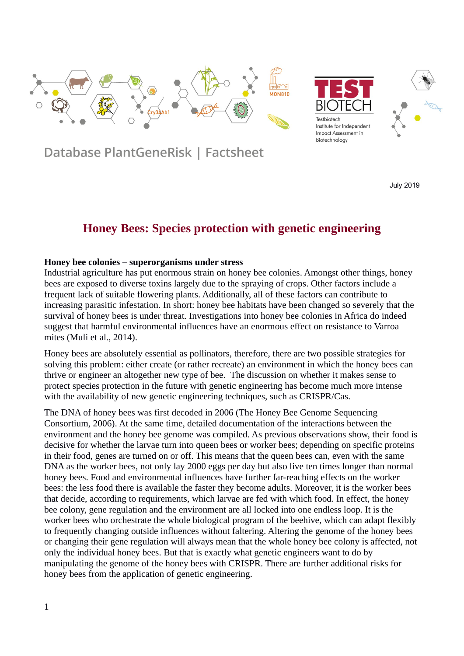





Database PlantGeneRisk | Factsheet

July 2019

# **Honey Bees: Species protection with genetic engineering**

#### **Honey bee colonies – superorganisms under stress**

Industrial agriculture has put enormous strain on honey bee colonies. Amongst other things, honey bees are exposed to diverse toxins largely due to the spraying of crops. Other factors include a frequent lack of suitable flowering plants. Additionally, all of these factors can contribute to increasing parasitic infestation. In short: honey bee habitats have been changed so severely that the survival of honey bees is under threat. Investigations into honey bee colonies in Africa do indeed suggest that harmful environmental influences have an enormous effect on resistance to Varroa mites (Muli et al., 2014).

Honey bees are absolutely essential as pollinators, therefore, there are two possible strategies for solving this problem: either create (or rather recreate) an environment in which the honey bees can thrive or engineer an altogether new type of bee. The discussion on whether it makes sense to protect species protection in the future with genetic engineering has become much more intense with the availability of new genetic engineering techniques, such as CRISPR/Cas.

The DNA of honey bees was first decoded in 2006 (The Honey Bee Genome Sequencing Consortium, 2006). At the same time, detailed documentation of the interactions between the environment and the honey bee genome was compiled. As previous observations show, their food is decisive for whether the larvae turn into queen bees or worker bees; depending on specific proteins in their food, genes are turned on or off. This means that the queen bees can, even with the same DNA as the worker bees, not only lay 2000 eggs per day but also live ten times longer than normal honey bees. Food and environmental influences have further far-reaching effects on the worker bees: the less food there is available the faster they become adults. Moreover, it is the worker bees that decide, according to requirements, which larvae are fed with which food. In effect, the honey bee colony, gene regulation and the environment are all locked into one endless loop. It is the worker bees who orchestrate the whole biological program of the beehive, which can adapt flexibly to frequently changing outside influences without faltering. Altering the genome of the honey bees or changing their gene regulation will always mean that the whole honey bee colony is affected, not only the individual honey bees. But that is exactly what genetic engineers want to do by manipulating the genome of the honey bees with CRISPR. There are further additional risks for honey bees from the application of genetic engineering.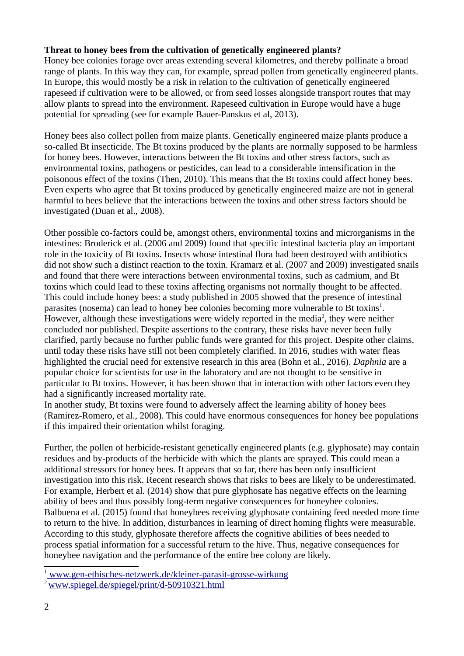# **Threat to honey bees from the cultivation of genetically engineered plants?**

Honey bee colonies forage over areas extending several kilometres, and thereby pollinate a broad range of plants. In this way they can, for example, spread pollen from genetically engineered plants. In Europe, this would mostly be a risk in relation to the cultivation of genetically engineered rapeseed if cultivation were to be allowed, or from seed losses alongside transport routes that may allow plants to spread into the environment. Rapeseed cultivation in Europe would have a huge potential for spreading (see for example Bauer-Panskus et al, 2013).

Honey bees also collect pollen from maize plants. Genetically engineered maize plants produce a so-called Bt insecticide. The Bt toxins produced by the plants are normally supposed to be harmless for honey bees. However, interactions between the Bt toxins and other stress factors, such as environmental toxins, pathogens or pesticides, can lead to a considerable intensification in the poisonous effect of the toxins (Then, 2010). This means that the Bt toxins could affect honey bees. Even experts who agree that Bt toxins produced by genetically engineered maize are not in general harmful to bees believe that the interactions between the toxins and other stress factors should be investigated (Duan et al., 2008).

Other possible co-factors could be, amongst others, environmental toxins and microrganisms in the intestines: Broderick et al. (2006 and 2009) found that specific intestinal bacteria play an important role in the toxicity of Bt toxins. Insects whose intestinal flora had been destroyed with antibiotics did not show such a distinct reaction to the toxin. Kramarz et al. (2007 and 2009) investigated snails and found that there were interactions between environmental toxins, such as cadmium, and Bt toxins which could lead to these toxins affecting organisms not normally thought to be affected. This could include honey bees: a study published in 2005 showed that the presence of intestinal parasites (nosema) can lead to honey bee colonies becoming more vulnerable to Bt toxins<sup>[1](#page-1-0)</sup>. However, although these investigations were widely reported in the media<sup>[2](#page-1-1)</sup>, they were neither concluded nor published. Despite assertions to the contrary, these risks have never been fully clarified, partly because no further public funds were granted for this project. Despite other claims, until today these risks have still not been completely clarified. In 2016, studies with water fleas highlighted the crucial need for extensive research in this area (Bohn et al., 2016). *Daphnia* are a popular choice for scientists for use in the laboratory and are not thought to be sensitive in particular to Bt toxins. However, it has been shown that in interaction with other factors even they had a significantly increased mortality rate.

In another study, Bt toxins were found to adversely affect the learning ability of honey bees (Ramirez-Romero, et al., 2008). This could have enormous consequences for honey bee populations if this impaired their orientation whilst foraging.

Further, the pollen of herbicide-resistant genetically engineered plants (e.g. glyphosate) may contain residues and by-products of the herbicide with which the plants are sprayed. This could mean a additional stressors for honey bees. It appears that so far, there has been only insufficient investigation into this risk. Recent research shows that risks to bees are likely to be underestimated. For example, Herbert et al. (2014) show that pure glyphosate has negative effects on the learning ability of bees and thus possibly long-term negative consequences for honeybee colonies. Balbuena et al. (2015) found that honeybees receiving glyphosate containing feed needed more time to return to the hive. In addition, disturbances in learning of direct homing flights were measurable. According to this study, glyphosate therefore affects the cognitive abilities of bees needed to process spatial information for a successful return to the hive. Thus, negative consequences for honeybee navigation and the performance of the entire bee colony are likely.

<span id="page-1-0"></span><sup>&</sup>lt;sup>1</sup> [www.gen-ethisches-netzwerk.de/kleiner-parasit-grosse-wirkung](http://www.gen-ethisches-netzwerk.de/kleiner-parasit-grosse-wirkung)

<span id="page-1-1"></span><sup>2</sup> [www.spiegel.de/spiegel/print/d-50910321.html](http://www.spiegel.de/spiegel/print/d-50910321.html)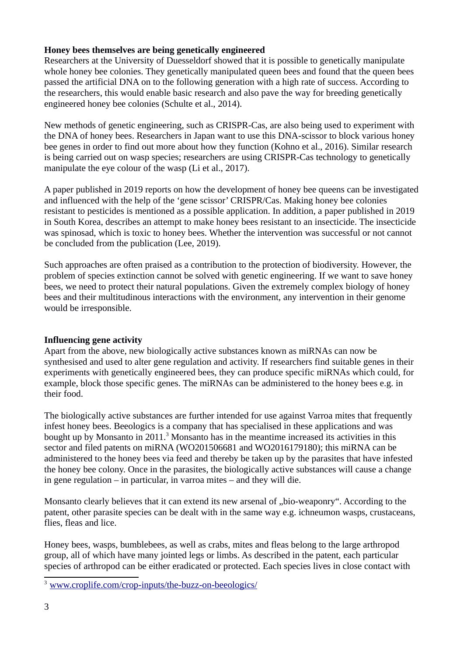# **Honey bees themselves are being genetically engineered**

Researchers at the University of Duesseldorf showed that it is possible to genetically manipulate whole honey bee colonies. They genetically manipulated queen bees and found that the queen bees passed the artificial DNA on to the following generation with a high rate of success. According to the researchers, this would enable basic research and also pave the way for breeding genetically engineered honey bee colonies (Schulte et al., 2014).

New methods of genetic engineering, such as CRISPR-Cas, are also being used to experiment with the DNA of honey bees. Researchers in Japan want to use this DNA-scissor to block various honey bee genes in order to find out more about how they function (Kohno et al., 2016). Similar research is being carried out on wasp species; researchers are using CRISPR-Cas technology to genetically manipulate the eye colour of the wasp (Li et al., 2017).

A paper published in 2019 reports on how the development of honey bee queens can be investigated and influenced with the help of the 'gene scissor' CRISPR/Cas. Making honey bee colonies resistant to pesticides is mentioned as a possible application. In addition, a paper published in 2019 in South Korea, describes an attempt to make honey bees resistant to an insecticide. The insecticide was spinosad, which is toxic to honey bees. Whether the intervention was successful or not cannot be concluded from the publication (Lee, 2019).

Such approaches are often praised as a contribution to the protection of biodiversity. However, the problem of species extinction cannot be solved with genetic engineering. If we want to save honey bees, we need to protect their natural populations. Given the extremely complex biology of honey bees and their multitudinous interactions with the environment, any intervention in their genome would be irresponsible.

# **Influencing gene activity**

Apart from the above, new biologically active substances known as miRNAs can now be synthesised and used to alter gene regulation and activity. If researchers find suitable genes in their experiments with genetically engineered bees, they can produce specific miRNAs which could, for example, block those specific genes. The miRNAs can be administered to the honey bees e.g. in their food.

The biologically active substances are further intended for use against Varroa mites that frequently infest honey bees. Beeologics is a company that has specialised in these applications and was bought up by Monsanto in 2011.<sup>[3](#page-2-0)</sup> Monsanto has in the meantime increased its activities in this sector and filed patents on miRNA (WO201506681 and WO2016179180); this miRNA can be administered to the honey bees via feed and thereby be taken up by the parasites that have infested the honey bee colony. Once in the parasites, the biologically active substances will cause a change in gene regulation – in particular, in varroa mites – and they will die.

Monsanto clearly believes that it can extend its new arsenal of "bio-weaponry". According to the patent, other parasite species can be dealt with in the same way e.g. ichneumon wasps, crustaceans, flies, fleas and lice.

Honey bees, wasps, bumblebees, as well as crabs, mites and fleas belong to the large arthropod group, all of which have many jointed legs or limbs. As described in the patent, each particular species of arthropod can be either eradicated or protected. Each species lives in close contact with

<span id="page-2-0"></span><sup>3</sup> [www.croplife.com/crop-inputs/the-buzz-on-beeologics/](https://www.croplife.com/crop-inputs/the-buzz-on-beeologics/)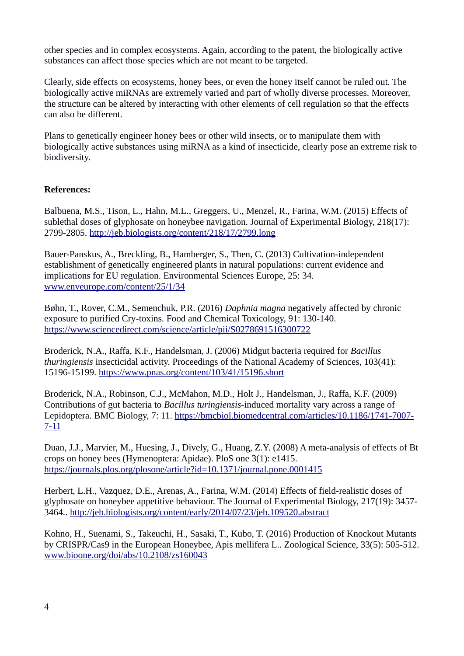other species and in complex ecosystems. Again, according to the patent, the biologically active substances can affect those species which are not meant to be targeted.

Clearly, side effects on ecosystems, honey bees, or even the honey itself cannot be ruled out. The biologically active miRNAs are extremely varied and part of wholly diverse processes. Moreover, the structure can be altered by interacting with other elements of cell regulation so that the effects can also be different.

Plans to genetically engineer honey bees or other wild insects, or to manipulate them with biologically active substances using miRNA as a kind of insecticide, clearly pose an extreme risk to biodiversity.

# **References:**

Balbuena, M.S., Tison, L., Hahn, M.L., Greggers, U., Menzel, R., Farina, W.M. (2015) Effects of sublethal doses of glyphosate on honeybee navigation. Journal of Experimental Biology, 218(17): 2799-2805.<http://jeb.biologists.org/content/218/17/2799.long>

Bauer-Panskus, A., Breckling, B., Hamberger, S., Then, C. (2013) Cultivation-independent establishment of genetically engineered plants in natural populations: current evidence and implications for EU regulation. Environmental Sciences Europe, 25: 34. [www.enveurope.com/content/25/1/34](http://www.enveurope.com/content/25/1/34)

Bøhn, T., Rover, C.M., Semenchuk, P.R. (2016) *Daphnia magna* negatively affected by chronic exposure to purified Cry-toxins. Food and Chemical Toxicology, 91: 130-140. <https://www.sciencedirect.com/science/article/pii/S0278691516300722>

Broderick, N.A., Raffa, K.F., Handelsman, J. (2006) Midgut bacteria required for *Bacillus thuringiensis* insecticidal activity. Proceedings of the National Academy of Sciences, 103(41): 15196-15199.<https://www.pnas.org/content/103/41/15196.short>

Broderick, N.A., Robinson, C.J., McMahon, M.D., Holt J., Handelsman, J., Raffa, K.F. (2009) Contributions of gut bacteria to *Bacillus turingiensis*-induced mortality vary across a range of Lepidoptera. BMC Biology, 7: 11. [https://bmcbiol.biomedcentral.com/articles/10.1186/1741-7007-](https://bmcbiol.biomedcentral.com/articles/10.1186/1741-7007-7-11) [7-11](https://bmcbiol.biomedcentral.com/articles/10.1186/1741-7007-7-11)

Duan, J.J., Marvier, M., Huesing, J., Dively, G., Huang, Z.Y. (2008) A meta-analysis of effects of Bt crops on honey bees (Hymenoptera: Apidae). PloS one 3(1): e1415. <https://journals.plos.org/plosone/article?id=10.1371/journal.pone.0001415>

Herbert, L.H., Vazquez, D.E., Arenas, A., Farina, W.M. (2014) Effects of field-realistic doses of glyphosate on honeybee appetitive behaviour. The Journal of Experimental Biology, 217(19): 3457- 3464..<http://jeb.biologists.org/content/early/2014/07/23/jeb.109520.abstract>

Kohno, H., Suenami, S., Takeuchi, H., Sasaki, T., Kubo, T. (2016) Production of Knockout Mutants by CRISPR/Cas9 in the European Honeybee, Apis mellifera L.. Zoological Science, 33(5): 505-512. [www.bioone.org/doi/abs/10.2108/zs160043](http://www.bioone.org/doi/abs/10.2108/zs160043)